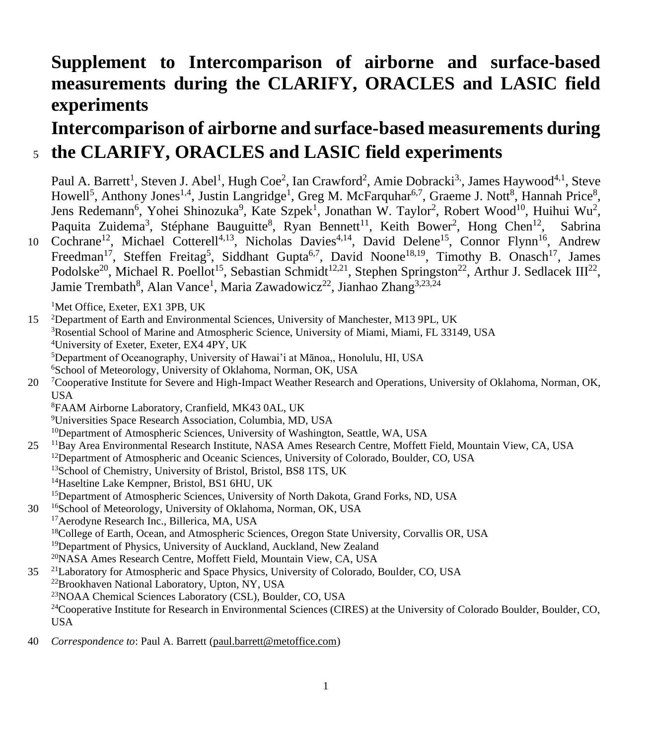# **Supplement to Intercomparison of airborne and surface-based measurements during the CLARIFY, ORACLES and LASIC field experiments**

## **Intercomparison of airborne and surface-based measurements during**  <sup>5</sup> **the CLARIFY, ORACLES and LASIC field experiments**

Paul A. Barrett<sup>1</sup>, Steven J. Abel<sup>1</sup>, Hugh Coe<sup>2</sup>, Ian Crawford<sup>2</sup>, Amie Dobracki<sup>3,</sup>, James Haywood<sup>4,1</sup>, Steve Howell<sup>5</sup>, Anthony Jones<sup>1,4</sup>, Justin Langridge<sup>1</sup>, Greg M. McFarquhar<sup>6,7</sup>, Graeme J. Nott<sup>8</sup>, Hannah Price<sup>8</sup>, Jens Redemann<sup>6</sup>, Yohei Shinozuka<sup>9</sup>, Kate Szpek<sup>1</sup>, Jonathan W. Taylor<sup>2</sup>, Robert Wood<sup>10</sup>, Huihui Wu<sup>2</sup>, Paquita Zuidema<sup>3</sup>, Stéphane Bauguitte<sup>8</sup>, Ryan Bennett<sup>11</sup>, Keith Bower<sup>2</sup>, Hong Chen<sup>12</sup>, Sabrina 10 Cochrane<sup>12</sup>, Michael Cotterell<sup>4,13</sup>, Nicholas Davies<sup>4,14</sup>, David Delene<sup>15</sup>, Connor Flynn<sup>16</sup>, Andrew

Freedman<sup>17</sup>, Steffen Freitag<sup>5</sup>, Siddhant Gupta<sup>6,7</sup>, David Noone<sup>18,19</sup>, Timothy B. Onasch<sup>17</sup>, James Podolske<sup>20</sup>, Michael R. Poellot<sup>15</sup>, Sebastian Schmidt<sup>12,21</sup>, Stephen Springston<sup>22</sup>, Arthur J. Sedlacek III<sup>22</sup>, Jamie Trembath<sup>8</sup>, Alan Vance<sup>1</sup>, Maria Zawadowicz<sup>22</sup>, Jianhao Zhang<sup>3,23,24</sup>

<sup>1</sup>Met Office, Exeter, EX1 3PB, UK

 <sup>2</sup>Department of Earth and Environmental Sciences, University of Manchester, M13 9PL, UK Rosential School of Marine and Atmospheric Science, University of Miami, Miami, FL 33149, USA University of Exeter, Exeter, EX4 4PY, UK Department of Oceanography, University of Hawai'i at Mānoa,, Honolulu, HI, USA <sup>6</sup>School of Meteorology, University of Oklahoma, Norman, OK, USA

20 <sup>7</sup> Cooperative Institute for Severe and High-Impact Weather Research and Operations, University of Oklahoma, Norman, OK, USA

<sup>8</sup>FAAM Airborne Laboratory, Cranfield, MK43 0AL, UK

<sup>9</sup>Universities Space Research Association, Columbia, MD, USA

<sup>10</sup>Department of Atmospheric Sciences, University of Washington, Seattle, WA, USA

25 <sup>11</sup> Bay Area Environmental Research Institute, NASA Ames Research Centre, Moffett Field, Mountain View, CA, USA <sup>12</sup>Department of Atmospheric and Oceanic Sciences, University of Colorado, Boulder, CO, USA <sup>13</sup>School of Chemistry, University of Bristol, Bristol, BS8 1TS, UK <sup>14</sup>Haseltine Lake Kempner, Bristol, BS1 6HU, UK <sup>15</sup>Department of Atmospheric Sciences, University of North Dakota, Grand Forks, ND, USA

30 <sup>16</sup> School of Meteorology, University of Oklahoma, Norman, OK, USA

- <sup>17</sup>Aerodyne Research Inc., Billerica, MA, USA <sup>18</sup>College of Earth, Ocean, and Atmospheric Sciences, Oregon State University, Corvallis OR, USA <sup>19</sup>Department of Physics, University of Auckland, Auckland, New Zealand <sup>20</sup>NASA Ames Research Centre, Moffett Field, Mountain View, CA, USA
- <sup>21</sup> Laboratory for Atmospheric and Space Physics, University of Colorado, Boulder, CO, USA <sup>22</sup>Brookhaven National Laboratory, Upton, NY, USA <sup>23</sup>NOAA Chemical Sciences Laboratory (CSL), Boulder, CO, USA <sup>24</sup>Cooperative Institute for Research in Environmental Sciences (CIRES) at the University of Colorado Boulder, Boulder, CO, USA
- 40 *Correspondence to*: Paul A. Barrett [\(paul.barrett@metoffice.com\)](mailto:paul.barrett@metoffice.com)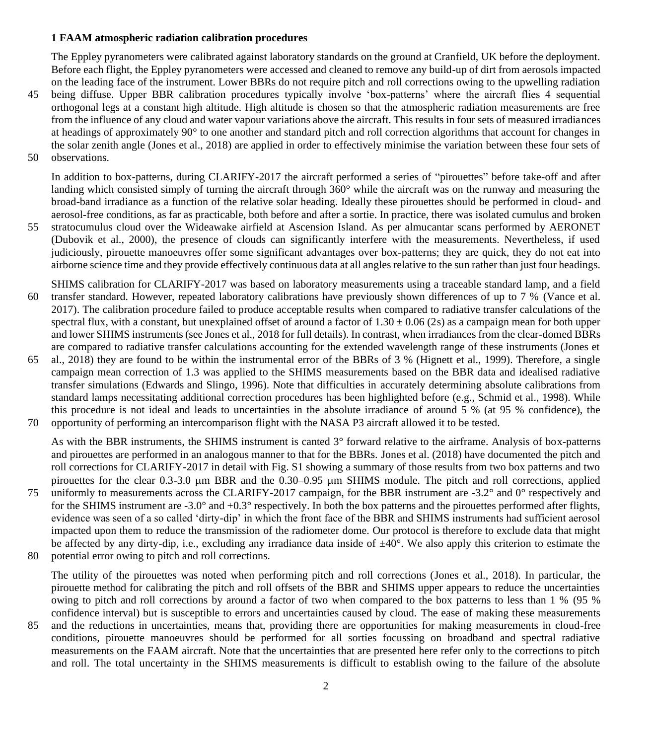### **1 FAAM atmospheric radiation calibration procedures**

The Eppley pyranometers were calibrated against laboratory standards on the ground at Cranfield, UK before the deployment. Before each flight, the Eppley pyranometers were accessed and cleaned to remove any build-up of dirt from aerosols impacted on the leading face of the instrument. Lower BBRs do not require pitch and roll corrections owing to the upwelling radiation

- 45 being diffuse. Upper BBR calibration procedures typically involve 'box-patterns' where the aircraft flies 4 sequential orthogonal legs at a constant high altitude. High altitude is chosen so that the atmospheric radiation measurements are free from the influence of any cloud and water vapour variations above the aircraft. This results in four sets of measured irradiances at headings of approximately 90° to one another and standard pitch and roll correction algorithms that account for changes in the solar zenith angle (Jones et al., 2018) are applied in order to effectively minimise the variation between these four sets of
- 50 observations.

In addition to box-patterns, during CLARIFY-2017 the aircraft performed a series of "pirouettes" before take-off and after landing which consisted simply of turning the aircraft through 360° while the aircraft was on the runway and measuring the broad-band irradiance as a function of the relative solar heading. Ideally these pirouettes should be performed in cloud- and aerosol-free conditions, as far as practicable, both before and after a sortie. In practice, there was isolated cumulus and broken

- 55 stratocumulus cloud over the Wideawake airfield at Ascension Island. As per almucantar scans performed by AERONET (Dubovik et al., 2000), the presence of clouds can significantly interfere with the measurements. Nevertheless, if used judiciously, pirouette manoeuvres offer some significant advantages over box-patterns; they are quick, they do not eat into airborne science time and they provide effectively continuous data at all angles relative to the sun rather than just four headings.
- SHIMS calibration for CLARIFY-2017 was based on laboratory measurements using a traceable standard lamp, and a field 60 transfer standard. However, repeated laboratory calibrations have previously shown differences of up to 7 % (Vance et al. 2017). The calibration procedure failed to produce acceptable results when compared to radiative transfer calculations of the spectral flux, with a constant, but unexplained offset of around a factor of  $1.30 \pm 0.06$  (2s) as a campaign mean for both upper and lower SHIMS instruments (see Jones et al., 2018 for full details). In contrast, when irradiances from the clear-domed BBRs are compared to radiative transfer calculations accounting for the extended wavelength range of these instruments (Jones et
- 65 al., 2018) they are found to be within the instrumental error of the BBRs of 3 % (Hignett et al., 1999). Therefore, a single campaign mean correction of 1.3 was applied to the SHIMS measurements based on the BBR data and idealised radiative transfer simulations (Edwards and Slingo, 1996). Note that difficulties in accurately determining absolute calibrations from standard lamps necessitating additional correction procedures has been highlighted before (e.g., Schmid et al., 1998). While this procedure is not ideal and leads to uncertainties in the absolute irradiance of around 5 % (at 95 % confidence), the 70 opportunity of performing an intercomparison flight with the NASA P3 aircraft allowed it to be tested.

As with the BBR instruments, the SHIMS instrument is canted 3° forward relative to the airframe. Analysis of box-patterns and pirouettes are performed in an analogous manner to that for the BBRs. Jones et al. (2018) have documented the pitch and roll corrections for CLARIFY-2017 in detail with Fig. S1 showing a summary of those results from two box patterns and two pirouettes for the clear 0.3-3.0 µm BBR and the 0.30–0.95 µm SHIMS module. The pitch and roll corrections, applied

- 75 uniformly to measurements across the CLARIFY-2017 campaign, for the BBR instrument are -3.2° and 0° respectively and for the SHIMS instrument are -3.0° and +0.3° respectively. In both the box patterns and the pirouettes performed after flights, evidence was seen of a so called 'dirty-dip' in which the front face of the BBR and SHIMS instruments had sufficient aerosol impacted upon them to reduce the transmission of the radiometer dome. Our protocol is therefore to exclude data that might be affected by any dirty-dip, i.e., excluding any irradiance data inside of  $\pm 40^{\circ}$ . We also apply this criterion to estimate the
- 80 potential error owing to pitch and roll corrections.

The utility of the pirouettes was noted when performing pitch and roll corrections (Jones et al., 2018). In particular, the pirouette method for calibrating the pitch and roll offsets of the BBR and SHIMS upper appears to reduce the uncertainties owing to pitch and roll corrections by around a factor of two when compared to the box patterns to less than 1 % (95 % confidence interval) but is susceptible to errors and uncertainties caused by cloud. The ease of making these measurements

85 and the reductions in uncertainties, means that, providing there are opportunities for making measurements in cloud-free conditions, pirouette manoeuvres should be performed for all sorties focussing on broadband and spectral radiative measurements on the FAAM aircraft. Note that the uncertainties that are presented here refer only to the corrections to pitch and roll. The total uncertainty in the SHIMS measurements is difficult to establish owing to the failure of the absolute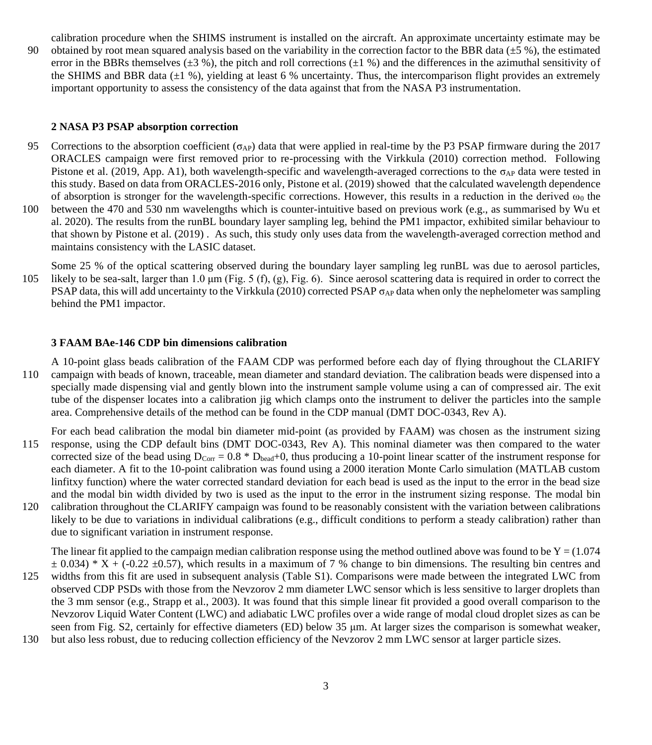calibration procedure when the SHIMS instrument is installed on the aircraft. An approximate uncertainty estimate may be

90 obtained by root mean squared analysis based on the variability in the correction factor to the BBR data  $(\pm 5\%)$ , the estimated error in the BBRs themselves ( $\pm 3$  %), the pitch and roll corrections ( $\pm 1$  %) and the differences in the azimuthal sensitivity of the SHIMS and BBR data  $(\pm 1 \%)$ , yielding at least 6 % uncertainty. Thus, the intercomparison flight provides an extremely important opportunity to assess the consistency of the data against that from the NASA P3 instrumentation.

#### **2 NASA P3 PSAP absorption correction**

- 95 Corrections to the absorption coefficient ( $\sigma_{AP}$ ) data that were applied in real-time by the P3 PSAP firmware during the 2017 ORACLES campaign were first removed prior to re-processing with the Virkkula (2010) correction method. Following Pistone et al. (2019, App. A1), both wavelength-specific and wavelength-averaged corrections to the  $\sigma_{AP}$  data were tested in this study. Based on data from ORACLES-2016 only, Pistone et al. (2019) showed that the calculated wavelength dependence of absorption is stronger for the wavelength-specific corrections. However, this results in a reduction in the derived  $\omega_0$  the 100 between the 470 and 530 nm wavelengths which is counter-intuitive based on previous work (e.g., as summarised by Wu et al. 2020). The results from the runBL boundary layer sampling leg, behind the PM1 impactor, exhibited similar behaviour to
- that shown by Pistone et al. (2019) . As such, this study only uses data from the wavelength-averaged correction method and maintains consistency with the LASIC dataset.
- Some 25 % of the optical scattering observed during the boundary layer sampling leg runBL was due to aerosol particles, 105 likely to be sea-salt, larger than 1.0  $\mu$ m (Fig. 5 (f), (g), Fig. 6). Since aerosol scattering data is required in order to correct the PSAP data, this will add uncertainty to the Virkkula (2010) corrected PSAP  $\sigma_{AP}$  data when only the nephelometer was sampling behind the PM1 impactor.

## **3 FAAM BAe-146 CDP bin dimensions calibration**

A 10-point glass beads calibration of the FAAM CDP was performed before each day of flying throughout the CLARIFY 110 campaign with beads of known, traceable, mean diameter and standard deviation. The calibration beads were dispensed into a specially made dispensing vial and gently blown into the instrument sample volume using a can of compressed air. The exit tube of the dispenser locates into a calibration jig which clamps onto the instrument to deliver the particles into the sample area. Comprehensive details of the method can be found in the CDP manual (DMT DOC-0343, Rev A).

- For each bead calibration the modal bin diameter mid-point (as provided by FAAM) was chosen as the instrument sizing 115 response, using the CDP default bins (DMT DOC-0343, Rev A). This nominal diameter was then compared to the water corrected size of the bead using  $D_{\text{Corr}} = 0.8 * D_{\text{bead}} + 0$ , thus producing a 10-point linear scatter of the instrument response for each diameter. A fit to the 10-point calibration was found using a 2000 iteration Monte Carlo simulation (MATLAB custom linfitxy function) where the water corrected standard deviation for each bead is used as the input to the error in the bead size and the modal bin width divided by two is used as the input to the error in the instrument sizing response. The modal bin
- 120 calibration throughout the CLARIFY campaign was found to be reasonably consistent with the variation between calibrations likely to be due to variations in individual calibrations (e.g., difficult conditions to perform a steady calibration) rather than due to significant variation in instrument response.

The linear fit applied to the campaign median calibration response using the method outlined above was found to be  $Y = (1.074$  $\pm$  0.034) \* X + (-0.22  $\pm$ 0.57), which results in a maximum of 7 % change to bin dimensions. The resulting bin centres and

- 125 widths from this fit are used in subsequent analysis (Table S1). Comparisons were made between the integrated LWC from observed CDP PSDs with those from the Nevzorov 2 mm diameter LWC sensor which is less sensitive to larger droplets than the 3 mm sensor (e.g., Strapp et al., 2003). It was found that this simple linear fit provided a good overall comparison to the Nevzorov Liquid Water Content (LWC) and adiabatic LWC profiles over a wide range of modal cloud droplet sizes as can be seen from Fig. S2, certainly for effective diameters (ED) below 35 μm. At larger sizes the comparison is somewhat weaker,
- 130 but also less robust, due to reducing collection efficiency of the Nevzorov 2 mm LWC sensor at larger particle sizes.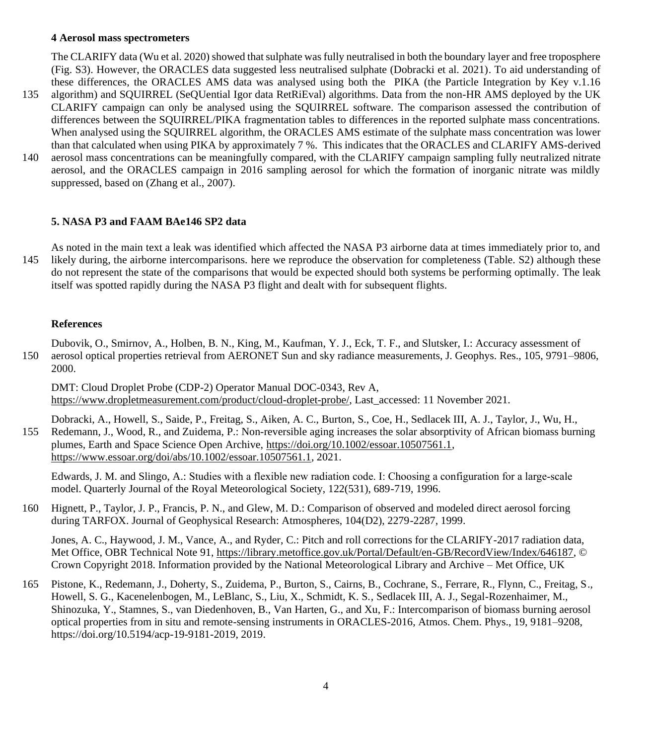#### **4 Aerosol mass spectrometers**

The CLARIFY data (Wu et al. 2020) showed that sulphate was fully neutralised in both the boundary layer and free troposphere (Fig. S3). However, the ORACLES data suggested less neutralised sulphate (Dobracki et al. 2021). To aid understanding of these differences, the ORACLES AMS data was analysed using both the PIKA (the Particle Integration by Key v.1.16

- 135 algorithm) and SQUIRREL (SeQUential Igor data RetRiEval) algorithms. Data from the non-HR AMS deployed by the UK CLARIFY campaign can only be analysed using the SQUIRREL software. The comparison assessed the contribution of differences between the SQUIRREL/PIKA fragmentation tables to differences in the reported sulphate mass concentrations. When analysed using the SQUIRREL algorithm, the ORACLES AMS estimate of the sulphate mass concentration was lower than that calculated when using PIKA by approximately 7 %. This indicates that the ORACLES and CLARIFY AMS-derived
- 140 aerosol mass concentrations can be meaningfully compared, with the CLARIFY campaign sampling fully neutralized nitrate aerosol, and the ORACLES campaign in 2016 sampling aerosol for which the formation of inorganic nitrate was mildly suppressed, based on (Zhang et al., 2007).

## **5. NASA P3 and FAAM BAe146 SP2 data**

As noted in the main text a leak was identified which affected the NASA P3 airborne data at times immediately prior to, and 145 likely during, the airborne intercomparisons. here we reproduce the observation for completeness (Table. S2) although these do not represent the state of the comparisons that would be expected should both systems be performing optimally. The leak itself was spotted rapidly during the NASA P3 flight and dealt with for subsequent flights.

### **References**

Dubovik, O., Smirnov, A., Holben, B. N., King, M., Kaufman, Y. J., Eck, T. F., and Slutsker, I.: Accuracy assessment of 150 aerosol optical properties retrieval from AERONET Sun and sky radiance measurements, J. Geophys. Res., 105, 9791–9806, 2000.

DMT: Cloud Droplet Probe (CDP-2) Operator Manual DOC-0343, Rev A, [https://www.dropletmeasurement.com/product/cloud-droplet-probe/,](https://www.dropletmeasurement.com/product/cloud-droplet-probe/) Last\_accessed: 11 November 2021.

Dobracki, A., Howell, S., Saide, P., Freitag, S., Aiken, A. C., Burton, S., Coe, H., Sedlacek III, A. J., Taylor, J., Wu, H., 155 Redemann, J., Wood, R., and Zuidema, P.: Non-reversible aging increases the solar absorptivity of African biomass burning plumes, Earth and Space Science Open Archive, [https://doi.org/10.1002/essoar.10507561.1,](https://doi.org/10.1002/essoar.10507561.1)

[https://www.essoar.org/doi/abs/10.1002/essoar.10507561.1,](https://www.essoar.org/doi/abs/10.1002/essoar.10507561.1) 2021.

Edwards, J. M. and Slingo, A.: Studies with a flexible new radiation code. I: Choosing a configuration for a large‐scale model. Quarterly Journal of the Royal Meteorological Society, 122(531), 689-719, 1996.

160 Hignett, P., Taylor, J. P., Francis, P. N., and Glew, M. D.: Comparison of observed and modeled direct aerosol forcing during TARFOX. Journal of Geophysical Research: Atmospheres, 104(D2), 2279-2287, 1999.

Jones, A. C., Haywood, J. M., Vance, A., and Ryder, C.: Pitch and roll corrections for the CLARIFY-2017 radiation data, Met Office, OBR Technical Note 91, [https://library.metoffice.gov.uk/Portal/Default/en-GB/RecordView/Index/646187,](https://library.metoffice.gov.uk/Portal/Default/en-GB/RecordView/Index/646187) © Crown Copyright 2018. Information provided by the National Meteorological Library and Archive – Met Office, UK

165 Pistone, K., Redemann, J., Doherty, S., Zuidema, P., Burton, S., Cairns, B., Cochrane, S., Ferrare, R., Flynn, C., Freitag, S., Howell, S. G., Kacenelenbogen, M., LeBlanc, S., Liu, X., Schmidt, K. S., Sedlacek III, A. J., Segal-Rozenhaimer, M., Shinozuka, Y., Stamnes, S., van Diedenhoven, B., Van Harten, G., and Xu, F.: Intercomparison of biomass burning aerosol optical properties from in situ and remote-sensing instruments in ORACLES-2016, Atmos. Chem. Phys., 19, 9181–9208, https://doi.org/10.5194/acp-19-9181-2019, 2019.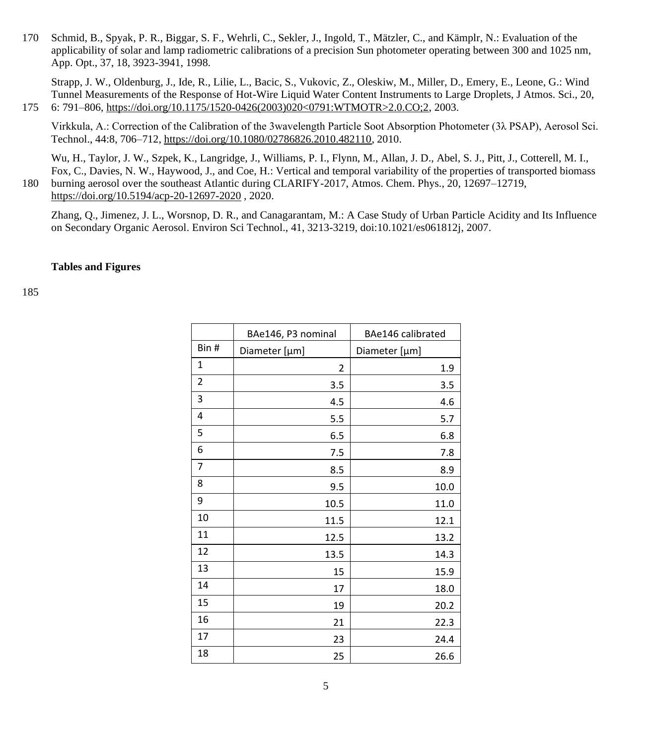Schmid, B., Spyak, P. R., Biggar, S. F., Wehrli, C., Sekler, J., Ingold, T., Mätzler, C., and Kämplr, N.: Evaluation of the applicability of solar and lamp radiometric calibrations of a precision Sun photometer operating between 300 and 1025 nm, App. Opt., 37, 18, 3923-3941, 1998.

Strapp, J. W., Oldenburg, J., Ide, R., Lilie, L., Bacic, S., Vukovic, Z., Oleskiw, M., Miller, D., Emery, E., Leone, G.: Wind Tunnel Measurements of the Response of Hot-Wire Liquid Water Content Instruments to Large Droplets, J Atmos. Sci., 20, 6: 791–806, [https://doi.org/10.1175/1520-0426\(2003\)020<0791:WTMOTR>2.0.CO;2,](https://doi.org/10.1175/1520-0426(2003)020%3c0791:WTMOTR%3e2.0.CO;2) 2003.

Virkkula, A.: Correction of the Calibration of the 3wavelength Particle Soot Absorption Photometer (3λ PSAP), Aerosol Sci. Technol., 44:8, 706–712, [https://doi.org/10.1080/02786826.2010.482110,](https://doi.org/10.1080/02786826.2010.482110) 2010.

Wu, H., Taylor, J. W., Szpek, K., Langridge, J., Williams, P. I., Flynn, M., Allan, J. D., Abel, S. J., Pitt, J., Cotterell, M. I., Fox, C., Davies, N. W., Haywood, J., and Coe, H.: Vertical and temporal variability of the properties of transported biomass burning aerosol over the southeast Atlantic during CLARIFY-2017, Atmos. Chem. Phys., 20, 12697–12719, <https://doi.org/10.5194/acp-20-12697-2020> , 2020.

Zhang, Q., Jimenez, J. L., Worsnop, D. R., and Canagarantam, M.: A Case Study of Urban Particle Acidity and Its Influence on Secondary Organic Aerosol. Environ Sci Technol., 41, 3213-3219, doi:10.1021/es061812j, 2007.

#### **Tables and Figures**

|      | BAe146, P3 nominal | BAe146 calibrated |  |
|------|--------------------|-------------------|--|
| Bin# | Diameter [µm]      | Diameter [µm]     |  |
| 1    | 2                  | 1.9               |  |
| 2    | 3.5                | 3.5               |  |
| 3    | 4.5                | 4.6               |  |
| 4    | 5.5                | 5.7               |  |
| 5    | 6.5                | 6.8               |  |
| 6    | 7.5                | 7.8               |  |
| 7    | 8.5                | 8.9               |  |
| 8    | 9.5                | 10.0              |  |
| 9    | 10.5               | 11.0              |  |
| 10   | 11.5               | 12.1              |  |
| 11   | 12.5               | 13.2              |  |
| 12   | 13.5               | 14.3              |  |
| 13   | 15                 | 15.9              |  |
| 14   | 17                 | 18.0              |  |
| 15   | 19                 | 20.2              |  |
| 16   | 21                 | 22.3              |  |
| 17   | 23                 | 24.4              |  |
| 18   | 25                 | 26.6              |  |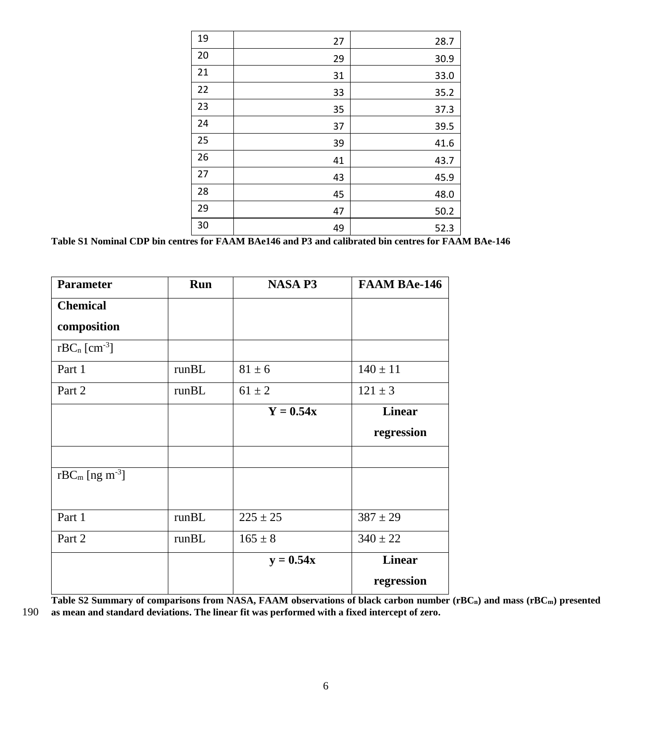| 19 | 27 | 28.7 |
|----|----|------|
| 20 | 29 | 30.9 |
| 21 | 31 | 33.0 |
| 22 | 33 | 35.2 |
| 23 | 35 | 37.3 |
| 24 | 37 | 39.5 |
| 25 | 39 | 41.6 |
| 26 | 41 | 43.7 |
| 27 | 43 | 45.9 |
| 28 | 45 | 48.0 |
| 29 | 47 | 50.2 |
| 30 | 49 | 52.3 |

**Table S1 Nominal CDP bin centres for FAAM BAe146 and P3 and calibrated bin centres for FAAM BAe-146**

| <b>Parameter</b>              | <b>Run</b> | <b>NASA P3</b> | <b>FAAM BAe-146</b> |
|-------------------------------|------------|----------------|---------------------|
| <b>Chemical</b>               |            |                |                     |
| composition                   |            |                |                     |
| $rBC_n$ [cm <sup>-3</sup> ]   |            |                |                     |
| Part 1                        | runBL      | $81 \pm 6$     | $140 \pm 11$        |
| Part 2                        | runBL      | $61 \pm 2$     | $121 \pm 3$         |
|                               |            | $Y = 0.54x$    | <b>Linear</b>       |
|                               |            |                | regression          |
|                               |            |                |                     |
| $rBC_m$ [ng m <sup>-3</sup> ] |            |                |                     |
|                               |            |                |                     |
| Part 1                        | runBL      | $225 \pm 25$   | $387 \pm 29$        |
| Part 2                        | runBL      | $165 \pm 8$    | $340 \pm 22$        |
|                               |            | $y = 0.54x$    | <b>Linear</b>       |
|                               |            |                | regression          |

**Table S2 Summary of comparisons from NASA, FAAM observations of black carbon number (rBCn) and mass (rBCm) presented** 

190 **as mean and standard deviations. The linear fit was performed with a fixed intercept of zero.**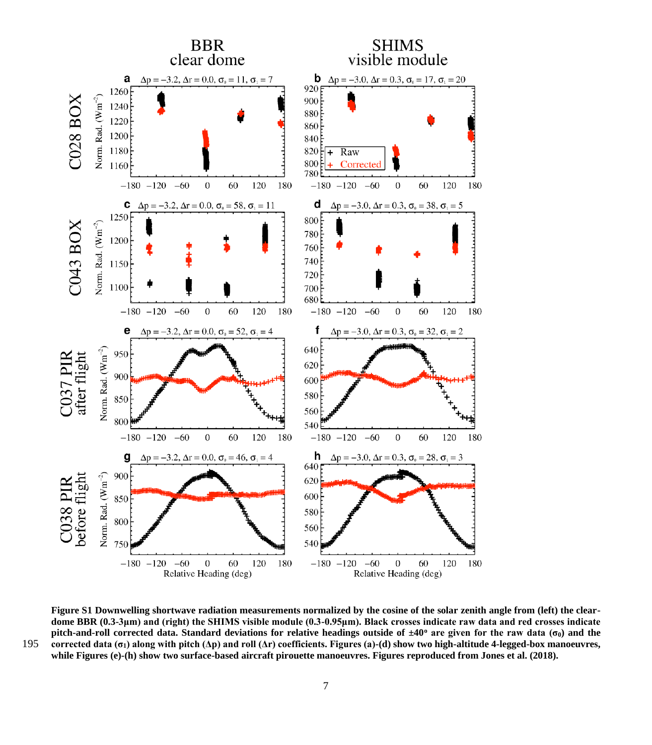

**Figure S1 Downwelling shortwave radiation measurements normalized by the cosine of the solar zenith angle from (left) the cleardome BBR (0.3-3μm) and (right) the SHIMS visible module (0.3-0.95μm). Black crosses indicate raw data and red crosses indicate pitch-and-roll corrected data. Standard deviations for relative headings outside of ±40<sup>o</sup> are given for the raw data (σ0) and the**  195 **corrected data (σ1) along with pitch (Δp) and roll (Δr) coefficients. Figures (a)-(d) show two high-altitude 4-legged-box manoeuvres, while Figures (e)-(h) show two surface-based aircraft pirouette manoeuvres. Figures reproduced from Jones et al. (2018).**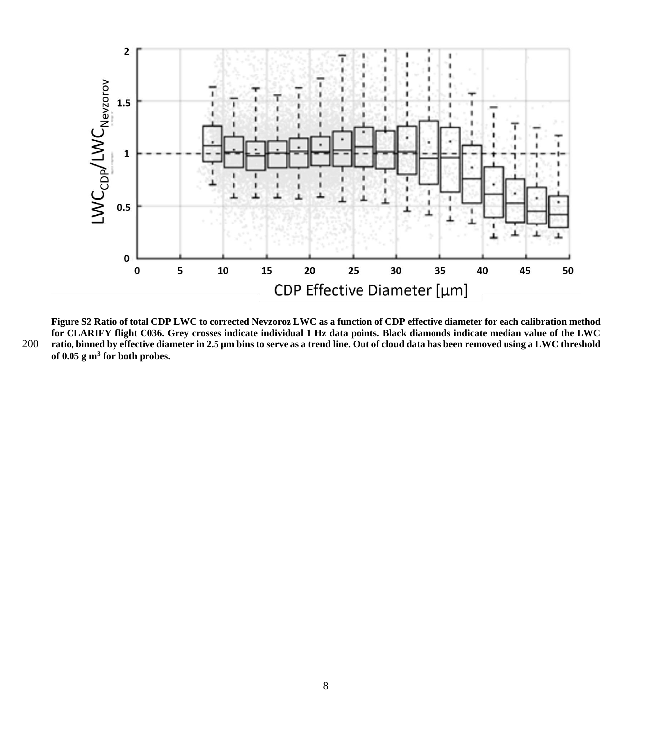

**Figure S2 Ratio of total CDP LWC to corrected Nevzoroz LWC as a function of CDP effective diameter for each calibration method for CLARIFY flight C036. Grey crosses indicate individual 1 Hz data points. Black diamonds indicate median value of the LWC**  200 **ratio, binned by effective diameter in 2.5 µm bins to serve as a trend line. Out of cloud data has been removed using a LWC threshold of 0.05 g m<sup>3</sup> for both probes.**